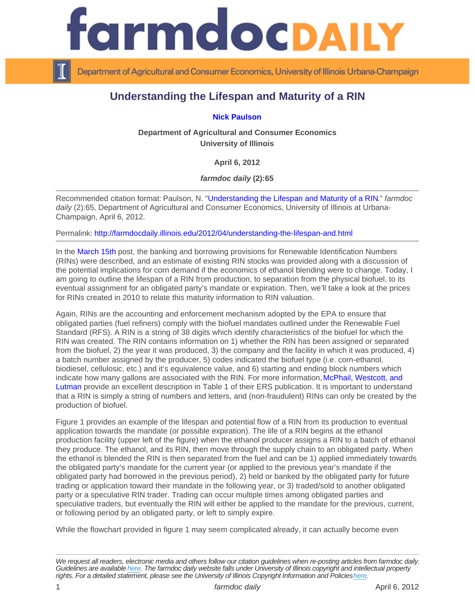## Understanding the Lifespan and Maturity of a RIN

[Nick Paulson](http://farmdoc.illinois.edu/paulson/)

Department of Agricultural and Consumer Economics University of Illinois

April 6, 2012

farmdoc daily (2):65

Recommended citation format: Paulson, N. ["Understanding the Lifespan and Maturity of a RIN.](http://farmdocdaily.illinois.edu/2012/04/understanding-the-lifespan-and.html)" farmdoc daily (2):65, Department of Agricultural and Consumer Economics, University of Illinois at Urbana-Champaign, April 6, 2012.

Permalink:<http://farmdocdaily.illinois.edu/2012/04/understanding-the-lifespan-and.html>

In the [March 15th](http://www.farmdocdaily.illinois.edu/2012/03/is_the_ethanol_mandate_truly_a.html) post, the banking and borrowing provisions for Renewable Identification Numbers (RINs) were described, and an estimate of existing RIN stocks was provided along with a discussion of the potential implications for corn demand if the economics of ethanol blending were to change. Today, I am going to outline the lifespan of a RIN from production, to separation from the physical biofuel, to its eventual assignment for an obligated party's mandate or expiration. Then, we'll take a look at the prices for RINs created in 2010 to relate this maturity information to RIN valuation.

Again, RINs are the accounting and enforcement mechanism adopted by the EPA to ensure that obligated parties (fuel refiners) comply with the biofuel mandates outlined under the Renewable Fuel Standard (RFS). A RIN is a string of 38 digits which identify characteristics of the biofuel for which the RIN was created. The RIN contains information on 1) whether the RIN has been assigned or separated from the biofuel, 2) the year it was produced, 3) the company and the facility in which it was produced, 4) a batch number assigned by the producer, 5) codes indicated the biofuel type (i.e. corn-ethanol, biodiesel, cellulosic, etc.) and it's equivalence value, and 6) starting and ending block numbers which indicate how many gallons are associated with the RIN. For more information, McPhail, Westcott, and [Lutman](http://www.ers.usda.gov/publications/bio03/bio03.pdf) provide an excellent description in Table 1 of their ERS publication. It is important to understand that a RIN is simply a string of numbers and letters, and (non-fraudulent) RINs can only be created by the production of biofuel.

Figure 1 provides an example of the lifespan and potential flow of a RIN from its production to eventual application towards the mandate (or possible expiration). The life of a RIN begins at the ethanol production facility (upper left of the figure) when the ethanol producer assigns a RIN to a batch of ethanol they produce. The ethanol, and its RIN, then move through the supply chain to an obligated party. When the ethanol is blended the RIN is then separated from the fuel and can be 1) applied immediately towards the obligated party's mandate for the current year (or applied to the previous year's mandate if the obligated party had borrowed in the previous period), 2) held or banked by the obligated party for future trading or application toward their mandate in the following year, or 3) traded/sold to another obligated party or a speculative RIN trader. Trading can occur multiple times among obligated parties and speculative traders, but eventually the RIN will either be applied to the mandate for the previous, current, or following period by an obligated party, or left to simply expire.

While the flowchart provided in figure 1 may seem complicated already, it can actually become even

We request all readers, electronic media and others follow our citation guidelines when re-posting articles from farmdoc daily. Guidelines are available [here](http://farmdocdaily.illinois.edu/citationguide.html). The farmdoc daily website falls under University of Illinois copyright and intellectual property rights. For a detailed statement, please see the University of Illinois Copyright Information and Policies [here.](https://techservices.illinois.edu/office-cio)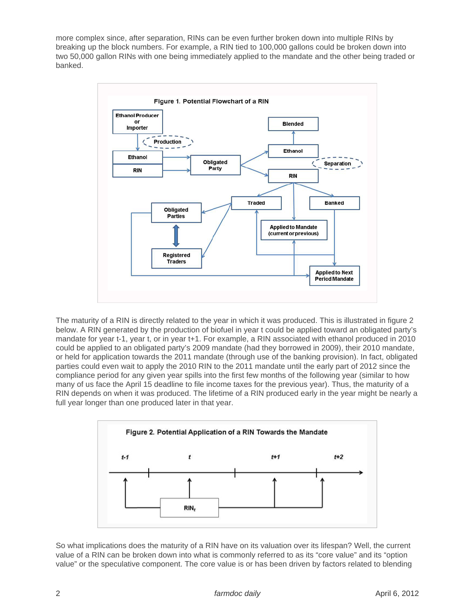more complex since, after separation, RINs can be even further broken down into multiple RINs by breaking up the block numbers. For example, a RIN tied to 100,000 gallons could be broken down into two 50,000 gallon RINs with one being immediately applied to the mandate and the other being traded or banked.



The maturity of a RIN is directly related to the year in which it was produced. This is illustrated in figure 2 below. A RIN generated by the production of biofuel in year t could be applied toward an obligated party's mandate for year t-1, year t, or in year t+1. For example, a RIN associated with ethanol produced in 2010 could be applied to an obligated party's 2009 mandate (had they borrowed in 2009), their 2010 mandate, or held for application towards the 2011 mandate (through use of the banking provision). In fact, obligated parties could even wait to apply the 2010 RIN to the 2011 mandate until the early part of 2012 since the compliance period for any given year spills into the first few months of the following year (similar to how many of us face the April 15 deadline to file income taxes for the previous year). Thus, the maturity of a RIN depends on when it was produced. The lifetime of a RIN produced early in the year might be nearly a full year longer than one produced later in that year.



So what implications does the maturity of a RIN have on its valuation over its lifespan? Well, the current value of a RIN can be broken down into what is commonly referred to as its "core value" and its "option value" or the speculative component. The core value is or has been driven by factors related to blending